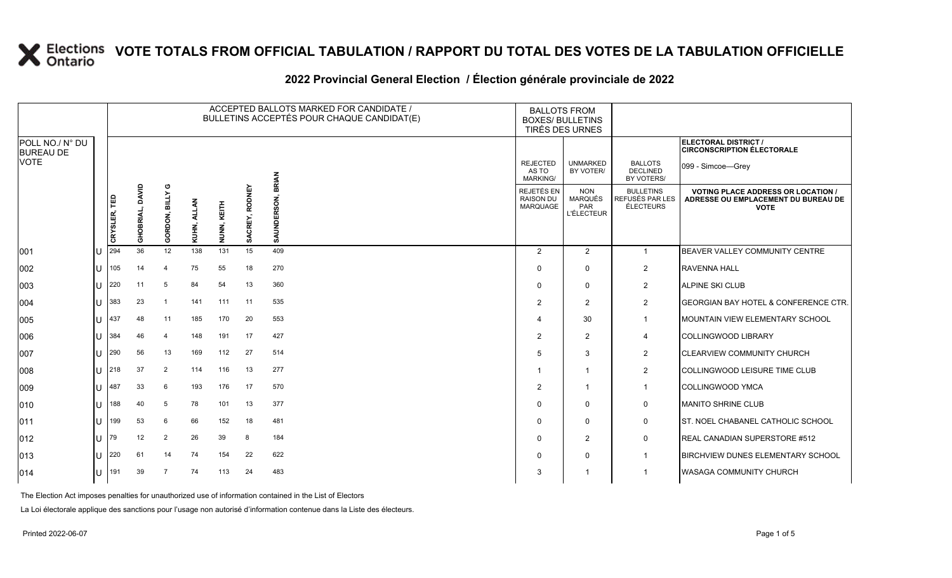#### **2022 Provincial General Election / Élection générale provinciale de 2022**

|                                     |     |              |                    |                              |       |                |                   | ACCEPTED BALLOTS MARKED FOR CANDIDATE /<br>BULLETINS ACCEPTÉS POUR CHAQUE CANDIDAT(E) | <b>BALLOTS FROM</b><br><b>BOXES/ BULLETINS</b><br>TIRÉS DES URNES |                                                   |                                                  |                                                                                               |
|-------------------------------------|-----|--------------|--------------------|------------------------------|-------|----------------|-------------------|---------------------------------------------------------------------------------------|-------------------------------------------------------------------|---------------------------------------------------|--------------------------------------------------|-----------------------------------------------------------------------------------------------|
| POLL NO./ N° DU<br><b>BUREAU DE</b> |     |              |                    |                              |       |                |                   |                                                                                       |                                                                   |                                                   |                                                  | <b>ELECTORAL DISTRICT /</b><br><b>CIRCONSCRIPTION ÉLECTORALE</b>                              |
| <b>VOTE</b>                         |     |              |                    |                              |       |                |                   | BRIAN                                                                                 | <b>REJECTED</b><br>AS TO<br><b>MARKING/</b>                       | <b>UNMARKED</b><br>BY VOTER/                      | <b>BALLOTS</b><br><b>DECLINED</b><br>BY VOTERS/  | 099 - Simcoe-Grey                                                                             |
|                                     |     | CRYSLER, TED | DAVID<br>GHOBRIAL, | ပ<br><b>BILLY</b><br>GORDON, | KUHN, | KEITH<br>NUNN, | RODNEY<br>SACREY, | SON.<br>₿<br>SAU                                                                      | <b>REJETÉS EN</b><br><b>RAISON DU</b><br>MARQUAGE                 | <b>NON</b><br>MARQUÉS<br>PAR<br><b>L'ÉLECTEUR</b> | <b>BULLETINS</b><br>REFUSÉS PAR LES<br>ÉLECTEURS | <b>VOTING PLACE ADDRESS OR LOCATION</b><br>ADRESSE OU EMPLACEMENT DU BUREAU DE<br><b>VOTE</b> |
| 001                                 |     | 294          | 36                 | 12                           | 138   | 131            | 15                | 409                                                                                   | $\overline{2}$                                                    | 2                                                 | $\mathbf{1}$                                     | BEAVER VALLEY COMMUNITY CENTRE                                                                |
| 002                                 | IU  | 105          | 14                 | $\overline{4}$               | 75    | 55             | 18                | 270                                                                                   | $\Omega$                                                          | $\Omega$                                          | $\overline{2}$                                   | <b>RAVENNA HALL</b>                                                                           |
| 003                                 | ПT  | 220          | 11                 | 5                            | 84    | 54             | 13                | 360                                                                                   | $\Omega$                                                          | $\Omega$                                          | $\overline{2}$                                   | <b>ALPINE SKI CLUB</b>                                                                        |
| 004                                 | ПT  | 383          | 23                 | $\overline{1}$               | 141   | 111            | 11                | 535                                                                                   | 2                                                                 | $\overline{2}$                                    | $\overline{2}$                                   | <b>GEORGIAN BAY HOTEL &amp; CONFERENCE CTR.</b>                                               |
| 005                                 | lU  | 437          | 48                 | 11                           | 185   | 170            | 20                | 553                                                                                   | 4                                                                 | 30                                                | $\mathbf{1}$                                     | MOUNTAIN VIEW ELEMENTARY SCHOOL                                                               |
| 006                                 | ПT  | 384          | 46                 | $\overline{4}$               | 148   | 191            | 17                | 427                                                                                   | $\overline{2}$                                                    | $\overline{2}$                                    | 4                                                | <b>COLLINGWOOD LIBRARY</b>                                                                    |
| 007                                 | ПT  | 290          | 56                 | 13                           | 169   | 112            | 27                | 514                                                                                   | 5                                                                 | 3                                                 | $\overline{2}$                                   | <b>CLEARVIEW COMMUNITY CHURCH</b>                                                             |
| 008                                 | ΠT  | 218          | 37                 | $\overline{2}$               | 114   | 116            | 13                | 277                                                                                   |                                                                   | -1                                                | $\overline{2}$                                   | COLLINGWOOD LEISURE TIME CLUB                                                                 |
| 009                                 | ПT  | 487          | 33                 | 6                            | 193   | 176            | 17                | 570                                                                                   | $\overline{2}$                                                    | -1                                                | $\mathbf{1}$                                     | <b>COLLINGWOOD YMCA</b>                                                                       |
| 010                                 | ПT  | 188          | 40                 | 5                            | 78    | 101            | 13                | 377                                                                                   | $\Omega$                                                          | $\Omega$                                          | 0                                                | <b>MANITO SHRINE CLUB</b>                                                                     |
| 011                                 | ΠT  | 199          | 53                 | 6                            | 66    | 152            | 18                | 481                                                                                   | $\Omega$                                                          | $\Omega$                                          | 0                                                | ST. NOEL CHABANEL CATHOLIC SCHOOL                                                             |
| $ 012\rangle$                       | ПT  | 79           | 12                 | $\overline{2}$               | 26    | 39             | 8                 | 184                                                                                   | $\Omega$                                                          | $\overline{2}$                                    | 0                                                | REAL CANADIAN SUPERSTORE #512                                                                 |
| 013                                 | ΙUΓ | 220          | 61                 | 14                           | 74    | 154            | 22                | 622                                                                                   | 0                                                                 | $\Omega$                                          | $\mathbf{1}$                                     | <b>BIRCHVIEW DUNES ELEMENTARY SCHOOL</b>                                                      |
| 014                                 | ΙU  | 191          | 39                 | $\overline{7}$               | 74    | 113            | 24                | 483                                                                                   | 3                                                                 |                                                   | $\mathbf 1$                                      | <b>WASAGA COMMUNITY CHURCH</b>                                                                |

The Election Act imposes penalties for unauthorized use of information contained in the List of Electors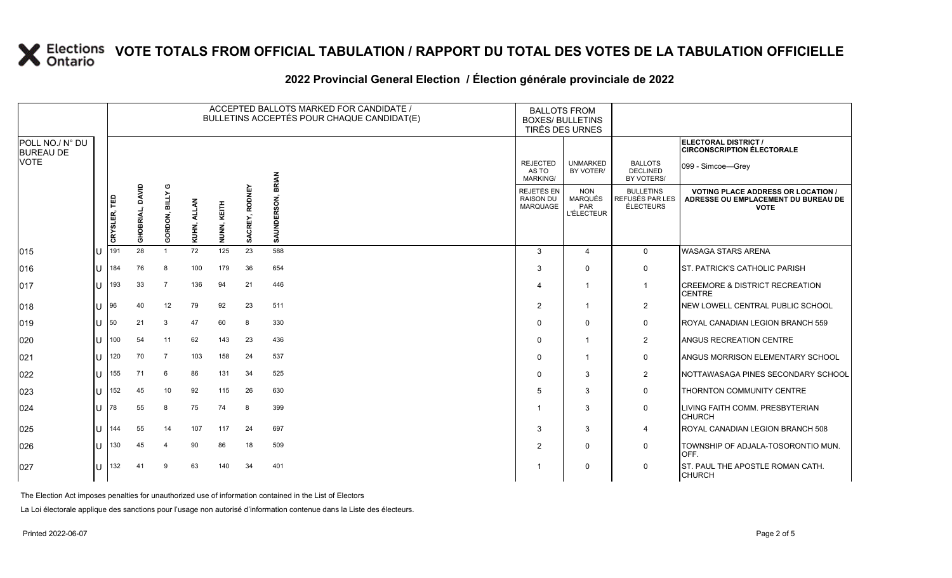### **2022 Provincial General Election / Élection générale provinciale de 2022**

|                                     |              |                    |                              |            |                |                   | ACCEPTED BALLOTS MARKED FOR CANDIDATE /<br>BULLETINS ACCEPTÉS POUR CHAQUE CANDIDAT(E) | <b>BALLOTS FROM</b><br><b>BOXES/ BULLETINS</b><br>TIRÉS DES URNES |                                                          |                                                  |                                                                                                 |
|-------------------------------------|--------------|--------------------|------------------------------|------------|----------------|-------------------|---------------------------------------------------------------------------------------|-------------------------------------------------------------------|----------------------------------------------------------|--------------------------------------------------|-------------------------------------------------------------------------------------------------|
| POLL NO./ N° DU<br><b>BUREAU DE</b> |              |                    |                              |            |                |                   |                                                                                       |                                                                   |                                                          |                                                  | ELECTORAL DISTRICT /<br><b>CIRCONSCRIPTION ÉLECTORALE</b>                                       |
| <b>VOTE</b>                         |              |                    |                              |            |                |                   | <b>BRIAN</b>                                                                          | <b>REJECTED</b><br>AS TO<br><b>MARKING/</b>                       | <b>UNMARKED</b><br>BY VOTER/                             | <b>BALLOTS</b><br><b>DECLINED</b><br>BY VOTERS/  | 099 - Simcoe-Grey                                                                               |
|                                     | CRYSLER, TED | DAVID<br>GHOBRIAL, | Ф<br><b>BILLY</b><br>GORDON, | ᆗ<br>KUHN, | KEITH<br>NUNN, | RODNEY<br>SACREY, | SAUNDERSON,                                                                           | <b>REJETÉS EN</b><br><b>RAISON DU</b><br><b>MARQUAGE</b>          | <b>NON</b><br><b>MARQUÉS</b><br>PAR<br><b>L'ÉLECTEUR</b> | <b>BULLETINS</b><br>REFUSÉS PAR LES<br>ÉLECTEURS | <b>VOTING PLACE ADDRESS OR LOCATION /</b><br>ADRESSE OU EMPLACEMENT DU BUREAU DE<br><b>VOTE</b> |
| 015                                 | 191          | 28                 | $\mathbf{1}$                 | 72         | 125            | 23                | 588                                                                                   | 3                                                                 | $\overline{4}$                                           | $\mathbf 0$                                      | WASAGA STARS ARENA                                                                              |
| 016                                 | 184          | 76                 | 8                            | 100        | 179            | 36                | 654                                                                                   | 3                                                                 | $\Omega$                                                 | $\mathbf 0$                                      | ST. PATRICK'S CATHOLIC PARISH                                                                   |
| 017                                 | 193          | 33                 | 7                            | 136        | 94             | 21                | 446                                                                                   | 4                                                                 | -1                                                       | $\mathbf{1}$                                     | <b>ICREEMORE &amp; DISTRICT RECREATION</b><br><b>CENTRE</b>                                     |
| 018                                 | 96           | 40                 | 12                           | 79         | 92             | 23                | 511                                                                                   | $\overline{2}$                                                    | $\mathbf{1}$                                             | $\overline{2}$                                   | NEW LOWELL CENTRAL PUBLIC SCHOOL                                                                |
| 019                                 | 50           | 21                 | 3                            | 47         | 60             | 8                 | 330                                                                                   | $\Omega$                                                          | $\mathbf{0}$                                             | $\mathbf 0$                                      | <b>ROYAL CANADIAN LEGION BRANCH 559</b>                                                         |
| 020                                 | 100          | 54                 | 11                           | 62         | 143            | 23                | 436                                                                                   | $\Omega$                                                          | $\mathbf 1$                                              | $\overline{2}$                                   | ANGUS RECREATION CENTRE                                                                         |
| 021                                 | 120          | 70                 | $\overline{7}$               | 103        | 158            | 24                | 537                                                                                   | 0                                                                 | $\mathbf 1$                                              | 0                                                | <b>ANGUS MORRISON ELEMENTARY SCHOOL</b>                                                         |
| 022                                 | 155          | 71                 | 6                            | 86         | 131            | 34                | 525                                                                                   | $\Omega$                                                          | 3                                                        | $\overline{2}$                                   | NOTTAWASAGA PINES SECONDARY SCHOOL                                                              |
| 023                                 | 152          | 45                 | 10                           | 92         | 115            | 26                | 630                                                                                   | 5                                                                 | 3                                                        | $\mathbf 0$                                      | THORNTON COMMUNITY CENTRE                                                                       |
| 024                                 | 78           | 55                 | 8                            | 75         | 74             | 8                 | 399                                                                                   |                                                                   | 3                                                        | $\mathbf 0$                                      | LIVING FAITH COMM. PRESBYTERIAN<br><b>CHURCH</b>                                                |
| 025                                 | 144          | 55                 | 14                           | 107        | 117            | 24                | 697                                                                                   | 3                                                                 | 3                                                        | 4                                                | ROYAL CANADIAN LEGION BRANCH 508                                                                |
| 026                                 | 130          | 45                 | 4                            | 90         | 86             | 18                | 509                                                                                   | $\overline{2}$                                                    | $\Omega$                                                 | $\mathbf 0$                                      | TOWNSHIP OF ADJALA-TOSORONTIO MUN.<br>OFF.                                                      |
| 027                                 | 132          | 41                 | 9                            | 63         | 140            | 34                | 401                                                                                   |                                                                   | $\Omega$                                                 | $\mathbf 0$                                      | IST. PAUL THE APOSTLE ROMAN CATH.<br><b>CHURCH</b>                                              |

The Election Act imposes penalties for unauthorized use of information contained in the List of Electors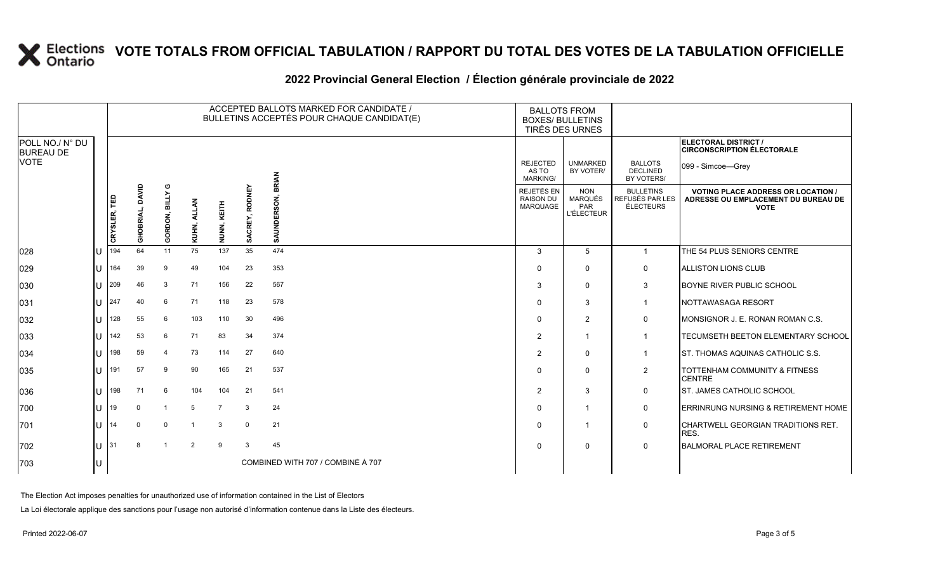### **2022 Provincial General Election / Élection générale provinciale de 2022**

|                                     |     |              |                          |                         |                |                |                          | ACCEPTED BALLOTS MARKED FOR CANDIDATE /<br>BULLETINS ACCEPTÉS POUR CHAQUE CANDIDAT(E) | <b>BALLOTS FROM</b><br><b>BOXES/ BULLETINS</b><br>TIRÉS DES URNES |                                                   |                                                  |                                                                                                 |
|-------------------------------------|-----|--------------|--------------------------|-------------------------|----------------|----------------|--------------------------|---------------------------------------------------------------------------------------|-------------------------------------------------------------------|---------------------------------------------------|--------------------------------------------------|-------------------------------------------------------------------------------------------------|
| POLL NO./ N° DU<br><b>BUREAU DE</b> |     |              |                          |                         |                |                |                          |                                                                                       |                                                                   |                                                   |                                                  | ELECTORAL DISTRICT /<br><b>CIRCONSCRIPTION ÉLECTORALE</b>                                       |
| <b>VOTE</b>                         |     |              |                          |                         |                |                |                          | <b>BRIAN</b>                                                                          | <b>REJECTED</b><br>AS TO<br><b>MARKING/</b>                       | <b>UNMARKED</b><br>BY VOTER/                      | <b>BALLOTS</b><br><b>DECLINED</b><br>BY VOTERS/  | 099 - Simcoe-Grey                                                                               |
|                                     |     | CRYSLER, TED | DAVID<br><b>GHOBRIAL</b> | <b>BILLY</b><br>GORDON, | KUHN, AL       | KEITH<br>NUNN, | <b>RODNEY</b><br>SACREY, | SAUNDERSON,                                                                           | REJETÉS EN<br><b>RAISON DU</b><br><b>MARQUAGE</b>                 | <b>NON</b><br>MARQUÉS<br>PAR<br><b>L'ÉLECTEUR</b> | <b>BULLETINS</b><br>REFUSÉS PAR LES<br>ÉLECTEURS | <b>VOTING PLACE ADDRESS OR LOCATION /</b><br>ADRESSE OU EMPLACEMENT DU BUREAU DE<br><b>VOTE</b> |
| 028                                 | 1 U | 194          | 64                       | 11                      | 75             | 137            | 35                       | 474                                                                                   | 3                                                                 | 5                                                 | $\mathbf{1}$                                     | THE 54 PLUS SENIORS CENTRE                                                                      |
| 029                                 | IU  | 164          | 39                       | 9                       | 49             | 104            | 23                       | 353                                                                                   | $\mathbf 0$                                                       | $\mathbf{0}$                                      | 0                                                | ALLISTON LIONS CLUB                                                                             |
| 030                                 | IU  | 209          | 46                       | 3                       | 71             | 156            | 22                       | 567                                                                                   | 3                                                                 | $\mathbf{0}$                                      | 3                                                | BOYNE RIVER PUBLIC SCHOOL                                                                       |
| 031                                 | lU  | 247          | 40                       | 6                       | 71             | 118            | 23                       | 578                                                                                   | $\mathbf 0$                                                       | 3                                                 | $\mathbf{1}$                                     | NOTTAWASAGA RESORT                                                                              |
| 032                                 | ΠT  | 128          | 55                       | 6                       | 103            | 110            | 30                       | 496                                                                                   | $\mathbf 0$                                                       | $\overline{2}$                                    | 0                                                | MONSIGNOR J. E. RONAN ROMAN C.S.                                                                |
| 033                                 | ΠT  | 142          | 53                       | 6                       | 71             | 83             | 34                       | 374                                                                                   | $\overline{2}$                                                    | -1                                                | $\mathbf{1}$                                     | <b>TECUMSETH BEETON ELEMENTARY SCHOOL</b>                                                       |
| 034                                 | IU  | 198          | 59                       | $\overline{4}$          | 73             | 114            | 27                       | 640                                                                                   | $\overline{2}$                                                    | 0                                                 | -1                                               | ST. THOMAS AQUINAS CATHOLIC S.S.                                                                |
| 035                                 | IП  | 191          | 57                       | 9                       | 90             | 165            | 21                       | 537                                                                                   | $\mathbf{0}$                                                      | $\mathbf{0}$                                      | $\overline{2}$                                   | TOTTENHAM COMMUNITY & FITNESS<br><b>CENTRE</b>                                                  |
| 036                                 | IU  | 198          | 71                       | 6                       | 104            | 104            | 21                       | 541                                                                                   | $\overline{2}$                                                    | 3                                                 | $\mathbf 0$                                      | <b>ST. JAMES CATHOLIC SCHOOL</b>                                                                |
| 700                                 | ΠT  | 19           | $\Omega$                 |                         | 5              | $\overline{7}$ | 3                        | 24                                                                                    | 0                                                                 |                                                   | 0                                                | ERRINRUNG NURSING & RETIREMENT HOME                                                             |
| 701                                 | IU  | 14           | $\Omega$                 | $\Omega$                | -1             | 3              | $\mathbf 0$              | 21                                                                                    | 0                                                                 |                                                   | 0                                                | CHARTWELL GEORGIAN TRADITIONS RET.<br>RES.                                                      |
| 702                                 | IU  | 31           | 8                        | -1                      | $\overline{2}$ | 9              | 3                        | 45                                                                                    | $\Omega$                                                          | 0                                                 | 0                                                | <b>BALMORAL PLACE RETIREMENT</b>                                                                |
| 703                                 | ΙU  |              |                          |                         |                |                |                          | COMBINED WITH 707 / COMBINÉ À 707                                                     |                                                                   |                                                   |                                                  |                                                                                                 |

The Election Act imposes penalties for unauthorized use of information contained in the List of Electors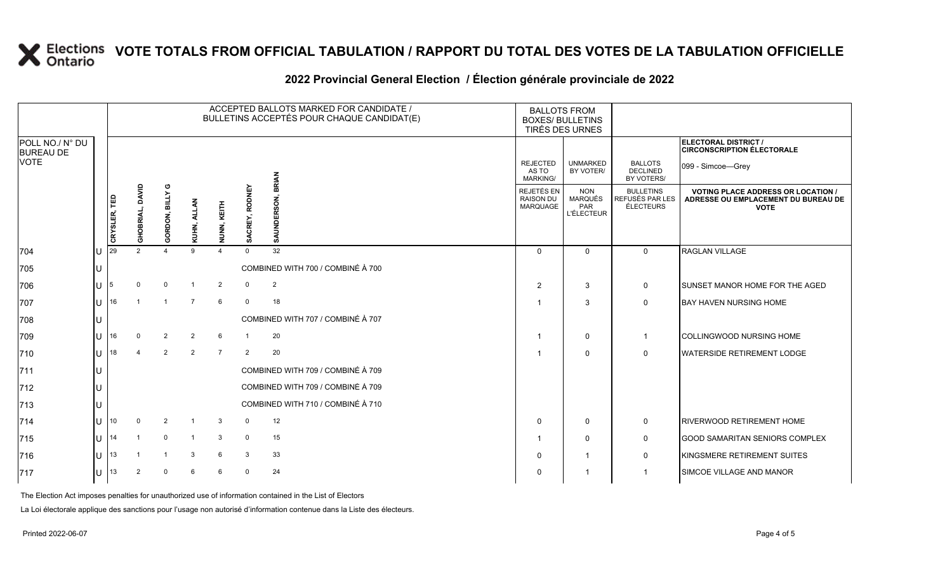### **2022 Provincial General Election / Élection générale provinciale de 2022**

|                                     |              |              |                    |                              |                |                |                | ACCEPTED BALLOTS MARKED FOR CANDIDATE /<br>BULLETINS ACCEPTÉS POUR CHAQUE CANDIDAT(E) | <b>BALLOTS FROM</b><br><b>BOXES/ BULLETINS</b><br>TIRÉS DES URNES |                                                          |                                                  |                                                                                                 |
|-------------------------------------|--------------|--------------|--------------------|------------------------------|----------------|----------------|----------------|---------------------------------------------------------------------------------------|-------------------------------------------------------------------|----------------------------------------------------------|--------------------------------------------------|-------------------------------------------------------------------------------------------------|
| POLL NO./ N° DU<br><b>BUREAU DE</b> |              |              |                    |                              |                |                |                |                                                                                       |                                                                   |                                                          |                                                  | ELECTORAL DISTRICT /<br><b>CIRCONSCRIPTION ÉLECTORALE</b>                                       |
| <b>VOTE</b>                         |              |              |                    |                              |                |                |                |                                                                                       | <b>REJECTED</b><br>AS TO<br><b>MARKING/</b>                       | <b>UNMARKED</b><br>BY VOTER/                             | <b>BALLOTS</b><br><b>DECLINED</b><br>BY VOTERS/  | 099 - Simcoe-Grey                                                                               |
|                                     |              | CRYSLER, TED | DAVID<br>GHOBRIAL, | ပ<br><b>BILLY</b><br>GORDON, | KUHN, ALLAN    | NUNN, KEITH    | SACREY, RODNEY | डू                                                                                    | REJETÉS EN<br><b>RAISON DU</b><br>MARQUAGE                        | <b>NON</b><br><b>MARQUÉS</b><br>PAR<br><b>L'ÉLECTEUR</b> | <b>BULLETINS</b><br>REFUSÉS PAR LES<br>ÉLECTEURS | <b>VOTING PLACE ADDRESS OR LOCATION /</b><br>ADRESSE OU EMPLACEMENT DU BUREAU DE<br><b>VOTE</b> |
| 704                                 |              | 29           | $\mathfrak{p}$     | $\Delta$                     | $\mathsf{Q}$   | $\overline{a}$ | $\Omega$       | 32                                                                                    | $\Omega$                                                          | $\Omega$                                                 | $\Omega$                                         | RAGLAN VILLAGE                                                                                  |
| 705                                 |              |              |                    |                              |                |                |                | COMBINED WITH 700 / COMBINÉ À 700                                                     |                                                                   |                                                          |                                                  |                                                                                                 |
| 706                                 |              | 15           |                    | $\mathbf 0$                  |                | $\overline{2}$ |                | $\overline{2}$                                                                        | 2                                                                 | 3                                                        | 0                                                | <b>I</b> SUNSET MANOR HOME FOR THE AGED                                                         |
| 707                                 | U            | 16           |                    |                              |                | 6              | $\Omega$       | 18                                                                                    |                                                                   | 3                                                        | $\mathbf 0$                                      | <b>BAY HAVEN NURSING HOME</b>                                                                   |
| 708                                 |              |              |                    |                              |                |                |                | COMBINED WITH 707 / COMBINÉ À 707                                                     |                                                                   |                                                          |                                                  |                                                                                                 |
| 709                                 | U            | 16           | $\Omega$           | $\overline{2}$               | $\overline{2}$ | 6              |                | 20                                                                                    |                                                                   | $\mathbf 0$                                              | $\mathbf{1}$                                     | <b>COLLINGWOOD NURSING HOME</b>                                                                 |
| 710                                 | $\mathbf{U}$ | 18           | $\overline{4}$     | 2                            | $\overline{2}$ | $\overline{7}$ | $\overline{2}$ | 20                                                                                    |                                                                   | $\Omega$                                                 | $\mathbf 0$                                      | <b>WATERSIDE RETIREMENT LODGE</b>                                                               |
| 711                                 |              |              |                    |                              |                |                |                | COMBINED WITH 709 / COMBINÉ À 709                                                     |                                                                   |                                                          |                                                  |                                                                                                 |
| 712                                 |              |              |                    |                              |                |                |                | COMBINED WITH 709 / COMBINÉ À 709                                                     |                                                                   |                                                          |                                                  |                                                                                                 |
| 713                                 |              |              |                    |                              |                |                |                | COMBINED WITH 710 / COMBINÉ À 710                                                     |                                                                   |                                                          |                                                  |                                                                                                 |
| 714                                 | U            | 10           | $\Omega$           | $\overline{2}$               |                | 3              | $\Omega$       | 12                                                                                    | $\Omega$                                                          | $\mathbf 0$                                              | 0                                                | <b>RIVERWOOD RETIREMENT HOME</b>                                                                |
| 715                                 | U            | 14           |                    | $\mathbf 0$                  |                | 3              | $\mathbf 0$    | 15                                                                                    |                                                                   | $\mathbf 0$                                              | 0                                                | <b>GOOD SAMARITAN SENIORS COMPLEX</b>                                                           |
| 716                                 | U            | 13           |                    |                              | 3              | 6              | 3              | 33                                                                                    | 0                                                                 | $\overline{\mathbf{1}}$                                  | 0                                                | KINGSMERE RETIREMENT SUITES                                                                     |
| 717                                 |              | 13           | $\overline{2}$     | $\Omega$                     |                | 6              | $\mathbf 0$    | 24                                                                                    |                                                                   | $\overline{\mathbf{1}}$                                  |                                                  | <b>SIMCOE VILLAGE AND MANOR</b>                                                                 |

The Election Act imposes penalties for unauthorized use of information contained in the List of Electors